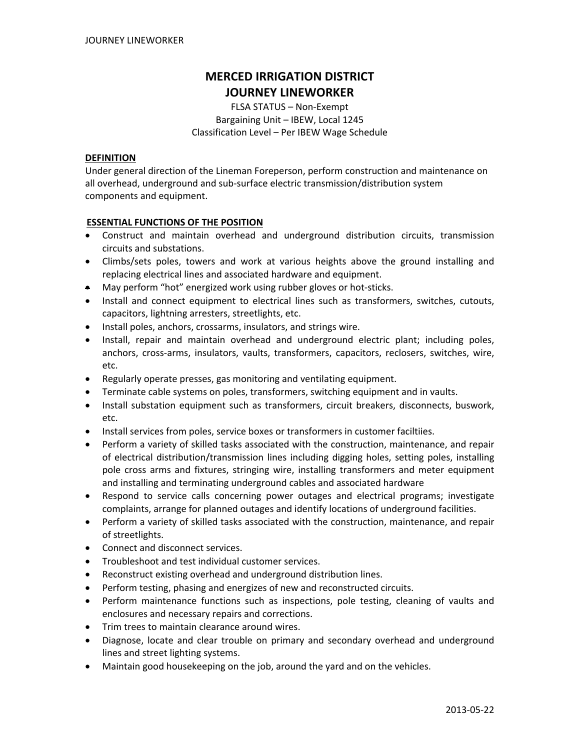# **MERCED IRRIGATION DISTRICT JOURNEY LINEWORKER**

FLSA STATUS – Non‐Exempt Bargaining Unit – IBEW, Local 1245 Classification Level – Per IBEW Wage Schedule

#### **DEFINITION**

Under general direction of the Lineman Foreperson, perform construction and maintenance on all overhead, underground and sub‐surface electric transmission/distribution system components and equipment.

# **ESSENTIAL FUNCTIONS OF THE POSITION**

- Construct and maintain overhead and underground distribution circuits, transmission circuits and substations.
- Climbs/sets poles, towers and work at various heights above the ground installing and replacing electrical lines and associated hardware and equipment.
- May perform "hot" energized work using rubber gloves or hot‐sticks.
- Install and connect equipment to electrical lines such as transformers, switches, cutouts, capacitors, lightning arresters, streetlights, etc.
- Install poles, anchors, crossarms, insulators, and strings wire.
- Install, repair and maintain overhead and underground electric plant; including poles, anchors, cross‐arms, insulators, vaults, transformers, capacitors, reclosers, switches, wire, etc.
- Regularly operate presses, gas monitoring and ventilating equipment.
- Terminate cable systems on poles, transformers, switching equipment and in vaults.
- Install substation equipment such as transformers, circuit breakers, disconnects, buswork, etc.
- Install services from poles, service boxes or transformers in customer faciltiies.
- Perform a variety of skilled tasks associated with the construction, maintenance, and repair of electrical distribution/transmission lines including digging holes, setting poles, installing pole cross arms and fixtures, stringing wire, installing transformers and meter equipment and installing and terminating underground cables and associated hardware
- Respond to service calls concerning power outages and electrical programs; investigate complaints, arrange for planned outages and identify locations of underground facilities.
- Perform a variety of skilled tasks associated with the construction, maintenance, and repair of streetlights.
- Connect and disconnect services.
- Troubleshoot and test individual customer services.
- Reconstruct existing overhead and underground distribution lines.
- Perform testing, phasing and energizes of new and reconstructed circuits.
- Perform maintenance functions such as inspections, pole testing, cleaning of vaults and enclosures and necessary repairs and corrections.
- Trim trees to maintain clearance around wires.
- Diagnose, locate and clear trouble on primary and secondary overhead and underground lines and street lighting systems.
- Maintain good housekeeping on the job, around the yard and on the vehicles.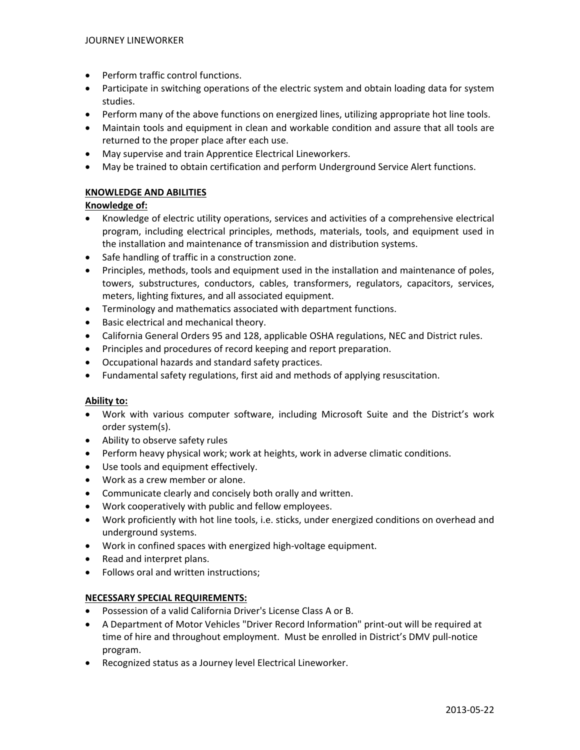- Perform traffic control functions.
- Participate in switching operations of the electric system and obtain loading data for system studies.
- Perform many of the above functions on energized lines, utilizing appropriate hot line tools.
- Maintain tools and equipment in clean and workable condition and assure that all tools are returned to the proper place after each use.
- May supervise and train Apprentice Electrical Lineworkers.
- May be trained to obtain certification and perform Underground Service Alert functions.

# **KNOWLEDGE AND ABILITIES**

# **Knowledge of:**

- Knowledge of electric utility operations, services and activities of a comprehensive electrical program, including electrical principles, methods, materials, tools, and equipment used in the installation and maintenance of transmission and distribution systems.
- Safe handling of traffic in a construction zone.
- Principles, methods, tools and equipment used in the installation and maintenance of poles, towers, substructures, conductors, cables, transformers, regulators, capacitors, services, meters, lighting fixtures, and all associated equipment.
- Terminology and mathematics associated with department functions.
- Basic electrical and mechanical theory.
- California General Orders 95 and 128, applicable OSHA regulations, NEC and District rules.
- Principles and procedures of record keeping and report preparation.
- Occupational hazards and standard safety practices.
- Fundamental safety regulations, first aid and methods of applying resuscitation.

# **Ability to:**

- Work with various computer software, including Microsoft Suite and the District's work order system(s).
- Ability to observe safety rules
- Perform heavy physical work; work at heights, work in adverse climatic conditions.
- Use tools and equipment effectively.
- Work as a crew member or alone.
- Communicate clearly and concisely both orally and written.
- Work cooperatively with public and fellow employees.
- Work proficiently with hot line tools, i.e. sticks, under energized conditions on overhead and underground systems.
- Work in confined spaces with energized high‐voltage equipment.
- Read and interpret plans.
- Follows oral and written instructions;

# **NECESSARY SPECIAL REQUIREMENTS:**

- Possession of a valid California Driver's License Class A or B.
- A Department of Motor Vehicles "Driver Record Information" print‐out will be required at time of hire and throughout employment. Must be enrolled in District's DMV pull‐notice program.
- Recognized status as a Journey level Electrical Lineworker.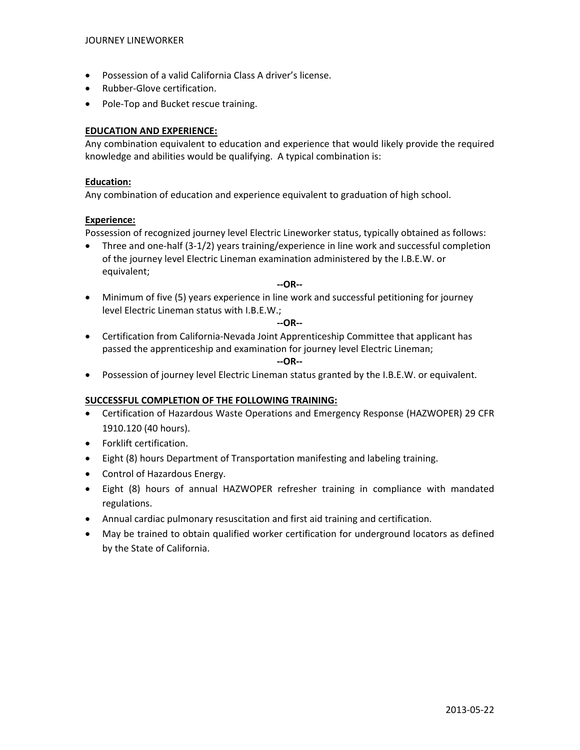- Possession of a valid California Class A driver's license.
- Rubber‐Glove certification.
- Pole‐Top and Bucket rescue training.

# **EDUCATION AND EXPERIENCE:**

Any combination equivalent to education and experience that would likely provide the required knowledge and abilities would be qualifying. A typical combination is:

#### **Education:**

Any combination of education and experience equivalent to graduation of high school.

#### **Experience:**

Possession of recognized journey level Electric Lineworker status, typically obtained as follows:

• Three and one-half (3-1/2) years training/experience in line work and successful completion of the journey level Electric Lineman examination administered by the I.B.E.W. or equivalent;

#### **‐‐OR‐‐**

• Minimum of five (5) years experience in line work and successful petitioning for journey level Electric Lineman status with I.B.E.W.;

#### **‐‐OR‐‐**

• Certification from California‐Nevada Joint Apprenticeship Committee that applicant has passed the apprenticeship and examination for journey level Electric Lineman;

#### **‐‐OR‐‐**

• Possession of journey level Electric Lineman status granted by the I.B.E.W. or equivalent.

#### **SUCCESSFUL COMPLETION OF THE FOLLOWING TRAINING:**

- Certification of Hazardous Waste Operations and Emergency Response (HAZWOPER) 29 CFR 1910.120 (40 hours).
- Forklift certification.
- Eight (8) hours Department of Transportation manifesting and labeling training.
- Control of Hazardous Energy.
- Eight (8) hours of annual HAZWOPER refresher training in compliance with mandated regulations.
- Annual cardiac pulmonary resuscitation and first aid training and certification.
- May be trained to obtain qualified worker certification for underground locators as defined by the State of California.